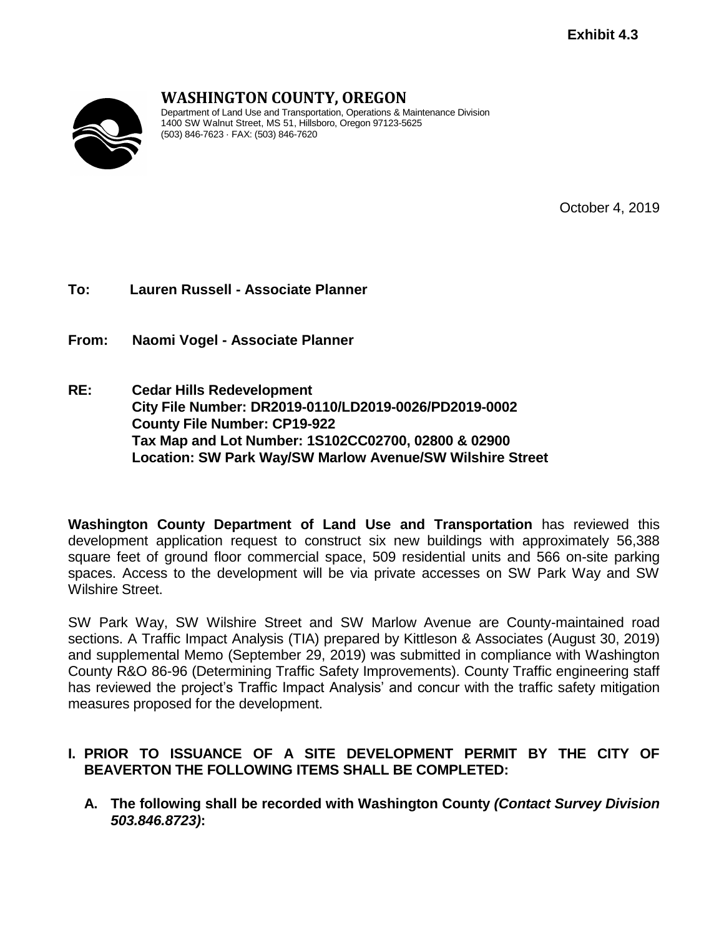

# **WASHINGTON COUNTY, OREGON**

Department of Land Use and Transportation, Operations & Maintenance Division 1400 SW Walnut Street, MS 51, Hillsboro, Oregon 97123-5625 (503) 846-7623 · FAX: (503) 846-7620

October 4, 2019

**To: Lauren Russell - Associate Planner**

**From: Naomi Vogel - Associate Planner**

**RE: Cedar Hills Redevelopment City File Number: DR2019-0110/LD2019-0026/PD2019-0002 County File Number: CP19-922 Tax Map and Lot Number: 1S102CC02700, 02800 & 02900 Location: SW Park Way/SW Marlow Avenue/SW Wilshire Street**

**Washington County Department of Land Use and Transportation** has reviewed this development application request to construct six new buildings with approximately 56,388 square feet of ground floor commercial space, 509 residential units and 566 on-site parking spaces. Access to the development will be via private accesses on SW Park Way and SW Wilshire Street.

SW Park Way, SW Wilshire Street and SW Marlow Avenue are County-maintained road sections. A Traffic Impact Analysis (TIA) prepared by Kittleson & Associates (August 30, 2019) and supplemental Memo (September 29, 2019) was submitted in compliance with Washington County R&O 86-96 (Determining Traffic Safety Improvements). County Traffic engineering staff has reviewed the project's Traffic Impact Analysis' and concur with the traffic safety mitigation measures proposed for the development.

## **I. PRIOR TO ISSUANCE OF A SITE DEVELOPMENT PERMIT BY THE CITY OF BEAVERTON THE FOLLOWING ITEMS SHALL BE COMPLETED:**

**A. The following shall be recorded with Washington County** *(Contact Survey Division 503.846.8723)***:**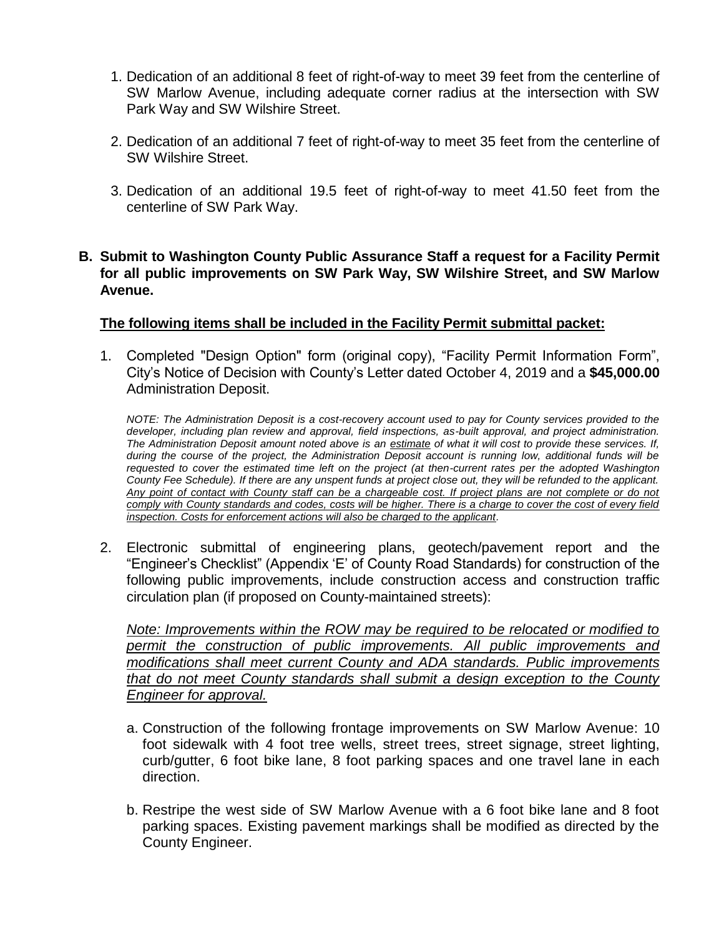- 1. Dedication of an additional 8 feet of right-of-way to meet 39 feet from the centerline of SW Marlow Avenue, including adequate corner radius at the intersection with SW Park Way and SW Wilshire Street.
- 2. Dedication of an additional 7 feet of right-of-way to meet 35 feet from the centerline of SW Wilshire Street.
- 3. Dedication of an additional 19.5 feet of right-of-way to meet 41.50 feet from the centerline of SW Park Way.

#### **B. Submit to Washington County Public Assurance Staff a request for a Facility Permit for all public improvements on SW Park Way, SW Wilshire Street, and SW Marlow Avenue.**

#### **The following items shall be included in the Facility Permit submittal packet:**

1. Completed "Design Option" form (original copy), "Facility Permit Information Form", City's Notice of Decision with County's Letter dated October 4, 2019 and a **\$45,000.00** Administration Deposit.

*NOTE: The Administration Deposit is a cost-recovery account used to pay for County services provided to the*  developer, including plan review and approval, field inspections, as-built approval, and project administration. *The Administration Deposit amount noted above is an estimate of what it will cost to provide these services. If, during the course of the project, the Administration Deposit account is running low, additional funds will be requested to cover the estimated time left on the project (at then-current rates per the adopted Washington County Fee Schedule). If there are any unspent funds at project close out, they will be refunded to the applicant.*  Any point of contact with County staff can be a chargeable cost. If project plans are not complete or do not *comply with County standards and codes, costs will be higher. There is a charge to cover the cost of every field inspection. Costs for enforcement actions will also be charged to the applicant.*

2. Electronic submittal of engineering plans, geotech/pavement report and the "Engineer's Checklist" (Appendix 'E' of County Road Standards) for construction of the following public improvements, include construction access and construction traffic circulation plan (if proposed on County-maintained streets):

*Note: Improvements within the ROW may be required to be relocated or modified to permit the construction of public improvements. All public improvements and modifications shall meet current County and ADA standards. Public improvements that do not meet County standards shall submit a design exception to the County Engineer for approval.*

- a. Construction of the following frontage improvements on SW Marlow Avenue: 10 foot sidewalk with 4 foot tree wells, street trees, street signage, street lighting, curb/gutter, 6 foot bike lane, 8 foot parking spaces and one travel lane in each direction.
- b. Restripe the west side of SW Marlow Avenue with a 6 foot bike lane and 8 foot parking spaces. Existing pavement markings shall be modified as directed by the County Engineer.